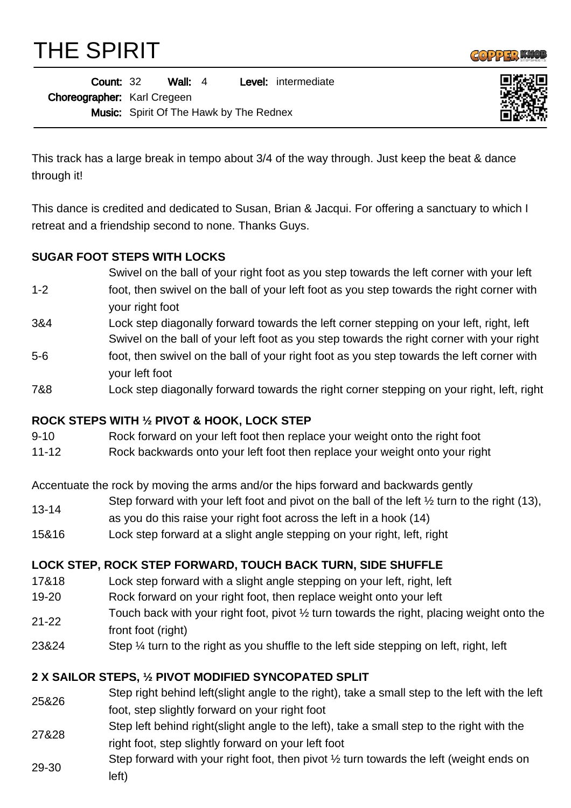THE SPIRIT



| <b>Count: 32</b>            |                                                | Wall: $4$ |  |  | <b>Level:</b> intermediate |
|-----------------------------|------------------------------------------------|-----------|--|--|----------------------------|
| Choreographer: Karl Cregeen |                                                |           |  |  |                            |
|                             | <b>Music:</b> Spirit Of The Hawk by The Rednex |           |  |  |                            |



This track has a large break in tempo about 3/4 of the way through. Just keep the beat & dance through it!

This dance is credited and dedicated to Susan, Brian & Jacqui. For offering a sanctuary to which I retreat and a friendship second to none. Thanks Guys.

## **SUGAR FOOT STEPS WITH LOCKS**

- 1-2 Swivel on the ball of your right foot as you step towards the left corner with your left foot, then swivel on the ball of your left foot as you step towards the right corner with your right foot
- 3&4 Lock step diagonally forward towards the left corner stepping on your left, right, left Swivel on the ball of your left foot as you step towards the right corner with your right
- 5-6 foot, then swivel on the ball of your right foot as you step towards the left corner with your left foot
- 7&8 Lock step diagonally forward towards the right corner stepping on your right, left, right

## **ROCK STEPS WITH ½ PIVOT & HOOK, LOCK STEP**

- 9-10 Rock forward on your left foot then replace your weight onto the right foot
- 11-12 Rock backwards onto your left foot then replace your weight onto your right

Accentuate the rock by moving the arms and/or the hips forward and backwards gently

- 13-14 Step forward with your left foot and pivot on the ball of the left ½ turn to the right (13),
- as you do this raise your right foot across the left in a hook (14)
- 15&16 Lock step forward at a slight angle stepping on your right, left, right

## **LOCK STEP, ROCK STEP FORWARD, TOUCH BACK TURN, SIDE SHUFFLE**

- 17&18 Lock step forward with a slight angle stepping on your left, right, left
- 19-20 Rock forward on your right foot, then replace weight onto your left
- 21-22 Touch back with your right foot, pivot ½ turn towards the right, placing weight onto the front foot (right)
- 23&24 Step 1/4 turn to the right as you shuffle to the left side stepping on left, right, left

## **2 X SAILOR STEPS, ½ PIVOT MODIFIED SYNCOPATED SPLIT**

- 25&26 Step right behind left(slight angle to the right), take a small step to the left with the left foot, step slightly forward on your right foot
- 27&28 Step left behind right(slight angle to the left), take a small step to the right with the right foot, step slightly forward on your left foot
- 29-30 Step forward with your right foot, then pivot ½ turn towards the left (weight ends on left)